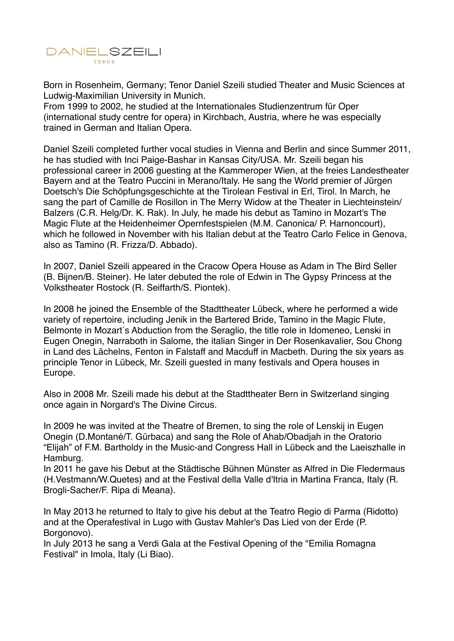

Born in Rosenheim, Germany; Tenor Daniel Szeili studied Theater and Music Sciences at Ludwig-Maximilian University in Munich.

From 1999 to 2002, he studied at the Internationales Studienzentrum für Oper (international study centre for opera) in Kirchbach, Austria, where he was especially trained in German and Italian Opera.

Daniel Szeili completed further vocal studies in Vienna and Berlin and since Summer 2011, he has studied with Inci Paige-Bashar in Kansas City/USA. Mr. Szeili began his professional career in 2006 guesting at the Kammeroper Wien, at the freies Landestheater Bayern and at the Teatro Puccini in Merano/Italy. He sang the World premier of Jürgen Doetsch's Die Schöpfungsgeschichte at the Tirolean Festival in Erl, Tirol. In March, he sang the part of Camille de Rosillon in The Merry Widow at the Theater in Liechteinstein/ Balzers (C.R. Helg/Dr. K. Rak). In July, he made his debut as Tamino in Mozart's The Magic Flute at the Heidenheimer Opernfestspielen (M.M. Canonica/ P. Harnoncourt), which he followed in November with his Italian debut at the Teatro Carlo Felice in Genova, also as Tamino (R. Frizza/D. Abbado).

In 2007, Daniel Szeili appeared in the Cracow Opera House as Adam in The Bird Seller (B. Bijnen/B. Steiner). He later debuted the role of Edwin in The Gypsy Princess at the Volkstheater Rostock (R. Seiffarth/S. Piontek).

In 2008 he joined the Ensemble of the Stadttheater Lübeck, where he performed a wide variety of repertoire, including Jenik in the Bartered Bride, Tamino in the Magic Flute, Belmonte in Mozart's Abduction from the Seraglio, the title role in Idomeneo, Lenski in Eugen Onegin, Narraboth in Salome, the italian Singer in Der Rosenkavalier, Sou Chong in Land des Lächelns, Fenton in Falstaff and Macduff in Macbeth. During the six years as principle Tenor in Lübeck, Mr. Szeili guested in many festivals and Opera houses in Europe.

Also in 2008 Mr. Szeili made his debut at the Stadttheater Bern in Switzerland singing once again in Norgard's The Divine Circus.

In 2009 he was invited at the Theatre of Bremen, to sing the role of Lenskij in Eugen Onegin (D.Montané/T. Gürbaca) and sang the Role of Ahab/Obadjah in the Oratorio "Elijah" of F.M. Bartholdy in the Music-and Congress Hall in Lübeck and the Laeiszhalle in Hamburg.

In 2011 he gave his Debut at the Städtische Bühnen Münster as Alfred in Die Fledermaus (H.Vestmann/W.Quetes) and at the Festival della Valle d'Itria in Martina Franca, Italy (R. Brogli-Sacher/F. Ripa di Meana).

In May 2013 he returned to Italy to give his debut at the Teatro Regio di Parma (Ridotto) and at the Operafestival in Lugo with Gustav Mahler's Das Lied von der Erde (P. Borgonovo).

In July 2013 he sang a Verdi Gala at the Festival Opening of the "Emilia Romagna Festival" in Imola, Italy (Li Biao).